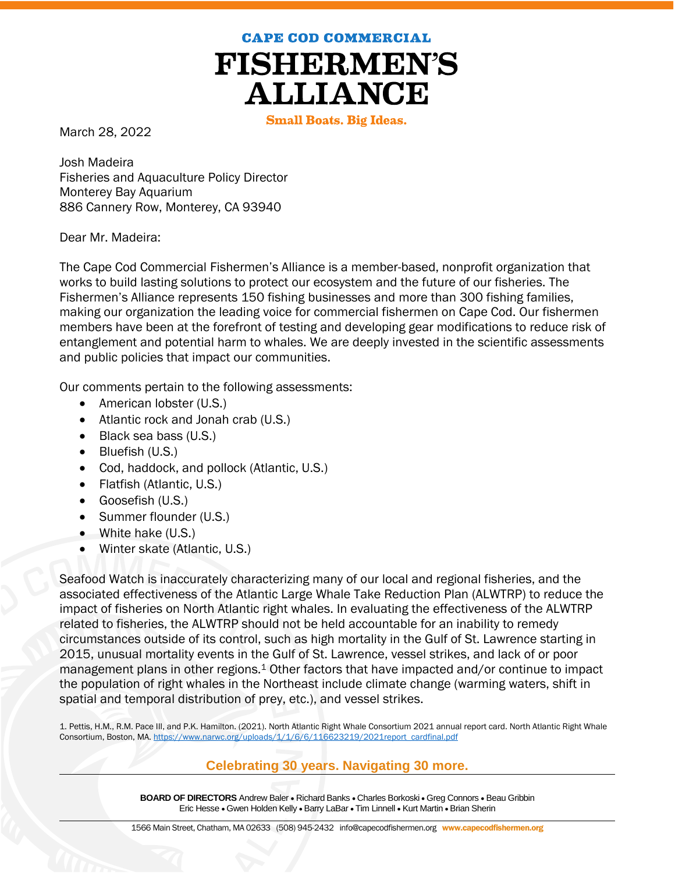**CAPE COD COMMERCIAL** 



**Small Boats. Big Ideas.** 

March 28, 2022

Josh Madeira Fisheries and Aquaculture Policy Director Monterey Bay Aquarium 886 Cannery Row, Monterey, CA 93940

Dear Mr. Madeira:

The Cape Cod Commercial Fishermen's Alliance is a member-based, nonprofit organization that works to build lasting solutions to protect our ecosystem and the future of our fisheries. The Fishermen's Alliance represents 150 fishing businesses and more than 300 fishing families, making our organization the leading voice for commercial fishermen on Cape Cod. Our fishermen members have been at the forefront of testing and developing gear modifications to reduce risk of entanglement and potential harm to whales. We are deeply invested in the scientific assessments and public policies that impact our communities.

Our comments pertain to the following assessments:

- American lobster (U.S.)
- Atlantic rock and Jonah crab (U.S.)
- Black sea bass (U.S.)
- Bluefish (U.S.)
- Cod, haddock, and pollock (Atlantic, U.S.)
- Flatfish (Atlantic, U.S.)
- Goosefish (U.S.)
- Summer flounder (U.S.)
- White hake (U.S.)
- Winter skate (Atlantic, U.S.)

Seafood Watch is inaccurately characterizing many of our local and regional fisheries, and the associated effectiveness of the Atlantic Large Whale Take Reduction Plan (ALWTRP) to reduce the impact of fisheries on North Atlantic right whales. In evaluating the effectiveness of the ALWTRP related to fisheries, the ALWTRP should not be held accountable for an inability to remedy circumstances outside of its control, such as high mortality in the Gulf of St. Lawrence starting in 2015, unusual mortality events in the Gulf of St. Lawrence, vessel strikes, and lack of or poor management plans in other regions.<sup>1</sup> Other factors that have impacted and/or continue to impact the population of right whales in the Northeast include climate change (warming waters, shift in spatial and temporal distribution of prey, etc.), and vessel strikes.

1. Pettis, H.M., R.M. Pace III, and P.K. Hamilton. (2021). North Atlantic Right Whale Consortium 2021 annual report card. North Atlantic Right Whale Consortium, Boston, MA[. https://www.narwc.org/uploads/1/1/6/6/116623219/2021report\\_cardfinal.pdf](https://www.narwc.org/uploads/1/1/6/6/116623219/2021report_cardfinal.pdf)

## **Celebrating 30 years. Navigating 30 more.**

**BOARD OF DIRECTORS** Andrew Baler . Richard Banks . Charles Borkoski . Greg Connors . Beau Gribbin Eric Hesse • Gwen Holden Kelly • Barry LaBar • Tim Linnell • Kurt Martin • Brian Sherin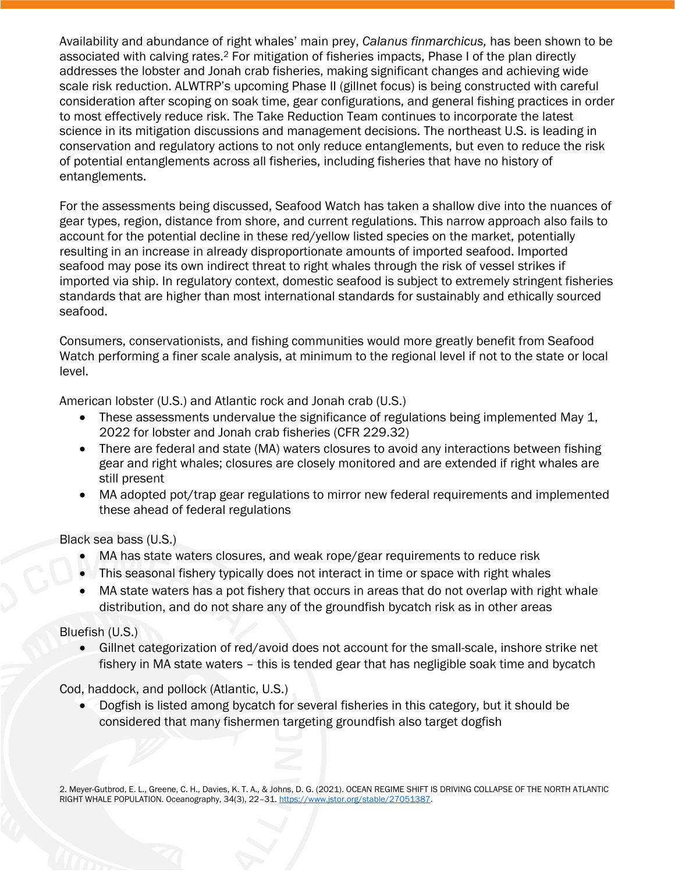Availability and abundance of right whales' main prey, *Calanus finmarchicus,* has been shown to be associated with calving rates.<sup>2</sup> For mitigation of fisheries impacts, Phase I of the plan directly addresses the lobster and Jonah crab fisheries, making significant changes and achieving wide scale risk reduction. ALWTRP's upcoming Phase II (gillnet focus) is being constructed with careful consideration after scoping on soak time, gear configurations, and general fishing practices in order to most effectively reduce risk. The Take Reduction Team continues to incorporate the latest science in its mitigation discussions and management decisions. The northeast U.S. is leading in conservation and regulatory actions to not only reduce entanglements, but even to reduce the risk of potential entanglements across all fisheries, including fisheries that have no history of entanglements.

For the assessments being discussed, Seafood Watch has taken a shallow dive into the nuances of gear types, region, distance from shore, and current regulations. This narrow approach also fails to account for the potential decline in these red/yellow listed species on the market, potentially resulting in an increase in already disproportionate amounts of imported seafood. Imported seafood may pose its own indirect threat to right whales through the risk of vessel strikes if imported via ship. In regulatory context, domestic seafood is subject to extremely stringent fisheries standards that are higher than most international standards for sustainably and ethically sourced seafood.

Consumers, conservationists, and fishing communities would more greatly benefit from Seafood Watch performing a finer scale analysis, at minimum to the regional level if not to the state or local level.

American lobster (U.S.) and Atlantic rock and Jonah crab (U.S.)

- These assessments undervalue the significance of regulations being implemented May 1, 2022 for lobster and Jonah crab fisheries (CFR 229.32)
- There are federal and state (MA) waters closures to avoid any interactions between fishing gear and right whales; closures are closely monitored and are extended if right whales are still present
- MA adopted pot/trap gear regulations to mirror new federal requirements and implemented these ahead of federal regulations

Black sea bass (U.S.)

- MA has state waters closures, and weak rope/gear requirements to reduce risk
- This seasonal fishery typically does not interact in time or space with right whales
- MA state waters has a pot fishery that occurs in areas that do not overlap with right whale distribution, and do not share any of the groundfish bycatch risk as in other areas

## Bluefish (U.S.)

 Gillnet categorization of red/avoid does not account for the small-scale, inshore strike net fishery in MA state waters – this is tended gear that has negligible soak time and bycatch

Cod, haddock, and pollock (Atlantic, U.S.)

 Dogfish is listed among bycatch for several fisheries in this category, but it should be considered that many fishermen targeting groundfish also target dogfish

2. Meyer-Gutbrod, E. L., Greene, C. H., Davies, K. T. A., & Johns, D. G. (2021). OCEAN REGIME SHIFT IS DRIVING COLLAPSE OF THE NORTH ATLANTIC RIGHT WHALE POPULATION. Oceanography, 34(3), 22–31[. https://www.jstor.org/stable/27051387.](https://www.jstor.org/stable/27051387)